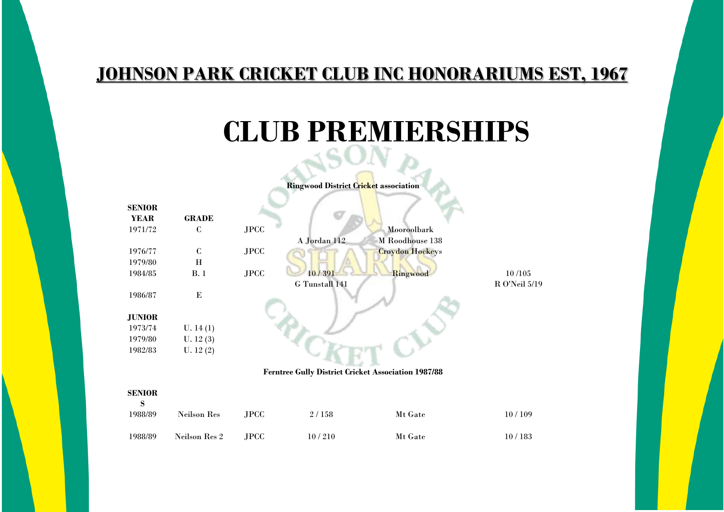## **JOHNSON PARK CRICKET CLUB INC HONORARIUMS EST, 1967**

## **CLUB PREMIERSHIPS**

|                                         |                             | Ringwood District Cricket association |                                                     |                                    |               |  |  |  |
|-----------------------------------------|-----------------------------|---------------------------------------|-----------------------------------------------------|------------------------------------|---------------|--|--|--|
| <b>SENIOR</b><br><b>YEAR</b><br>1971/72 | <b>GRADE</b><br>$\mathbf C$ | <b>JPCC</b>                           |                                                     | Mooroolbark                        |               |  |  |  |
|                                         |                             |                                       | A Jordan 112                                        | M Roodhouse 138                    |               |  |  |  |
| 1976/77<br>1979/80<br>1984/85           | $\mathbf C$<br>Н<br>B.1     | <b>JPCC</b><br><b>JPCC</b>            | 10/391                                              | <b>Croydon Hockeys</b><br>Ringwood | 10/105        |  |  |  |
|                                         |                             |                                       | G Tunstall 141                                      |                                    | R O'Neil 5/19 |  |  |  |
| 1986/87                                 | ${\bf E}$                   |                                       |                                                     |                                    |               |  |  |  |
| <b>JUNIOR</b>                           |                             |                                       |                                                     |                                    |               |  |  |  |
| 1973/74                                 | U. 14(1)                    |                                       |                                                     |                                    |               |  |  |  |
| 1979/80                                 | U. 12(3)                    |                                       |                                                     |                                    |               |  |  |  |
| 1982/83                                 | U. 12(2)                    |                                       |                                                     |                                    |               |  |  |  |
|                                         |                             |                                       | Ferntree Gully District Cricket Association 1987/88 |                                    |               |  |  |  |
| <b>SENIOR</b><br>S                      |                             |                                       |                                                     |                                    |               |  |  |  |
| 1988/89                                 | <b>Neilson Res</b>          | <b>JPCC</b>                           | $2\ /\ 158$                                         | Mt Gate                            | $10/109$      |  |  |  |
| 1988/89                                 | Neilson Res 2               | <b>JPCC</b>                           | $10/210$                                            | Mt Gate                            | $10\,/\,183$  |  |  |  |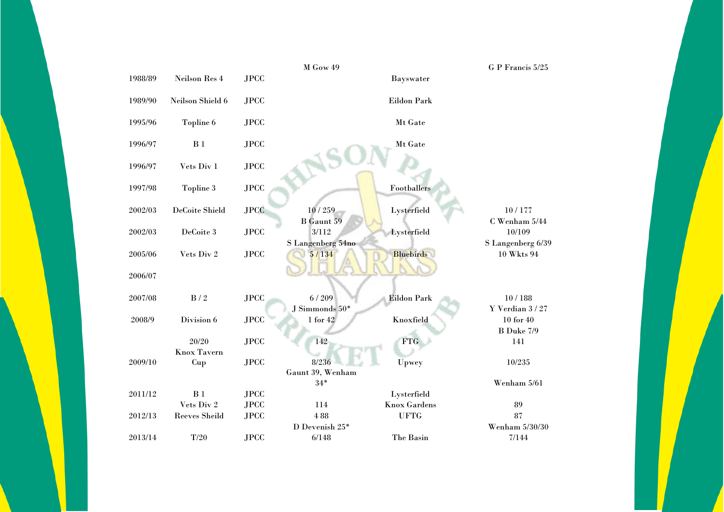|         |                             |             | M Gow 49                    |                     | G P Francis 5/25            |
|---------|-----------------------------|-------------|-----------------------------|---------------------|-----------------------------|
| 1988/89 | Neilson Res 4               | <b>JPCC</b> |                             | Bayswater           |                             |
| 1989/90 | Neilson Shield 6            | <b>JPCC</b> |                             | Eildon Park         |                             |
| 1995/96 | Topline 6                   | <b>JPCC</b> |                             | Mt Gate             |                             |
| 1996/97 | B <sub>1</sub>              | <b>JPCC</b> |                             | Mt Gate             |                             |
| 1996/97 | Vets Div 1                  | <b>JPCC</b> |                             |                     |                             |
| 1997/98 | Topline 3                   | <b>JPCC</b> |                             | Footballers         |                             |
| 2002/03 | DeCoite Shield              | <b>JPCC</b> | 10/259<br><b>B</b> Gaunt 59 | Lysterfield         | 10/177<br>$C$ Wenham $5/44$ |
| 2002/03 | DeCoite 3                   | <b>JPCC</b> | 3/112<br>S Langenberg 54no  | Lysterfield         | 10/109<br>S Langenberg 6/39 |
| 2005/06 | Vets Div 2                  | <b>JPCC</b> | 5/134                       | <b>Bluebirds</b>    | 10 Wkts 94                  |
| 2006/07 |                             |             |                             |                     |                             |
| 2007/08 | B/2                         | <b>JPCC</b> | 6/209<br>J Simmonds 50*     | <b>Eildon Park</b>  | 10/188<br>Y Verdian 3 / 27  |
| 2008/9  | Division 6                  | <b>JPCC</b> | 1 for 42                    | Knoxfield           | 10 for 40<br>B Duke 7/9     |
|         | 20/20<br><b>Knox Tavern</b> | <b>JPCC</b> | 142                         | <b>FTG</b>          | 141                         |
| 2009/10 | Cup                         | <b>JPCC</b> | 8/236<br>Gaunt 39, Wenham   | Upwey               | 10/235                      |
|         |                             |             | $34*$                       |                     | Wenham 5/61                 |
| 2011/12 | B <sub>1</sub>              | <b>JPCC</b> |                             | Lysterfield         |                             |
|         | Vets Div 2                  | <b>JPCC</b> | 114                         | <b>Knox Gardens</b> | 89                          |
| 2012/13 | Reeves Sheild               | <b>JPCC</b> | 488                         | <b>UFTG</b>         | 87                          |
|         |                             |             | D Devenish 25*              |                     | Wenham 5/30/30              |
| 2013/14 | T/20                        | <b>JPCC</b> | 6/148                       | The Basin           | 7/144                       |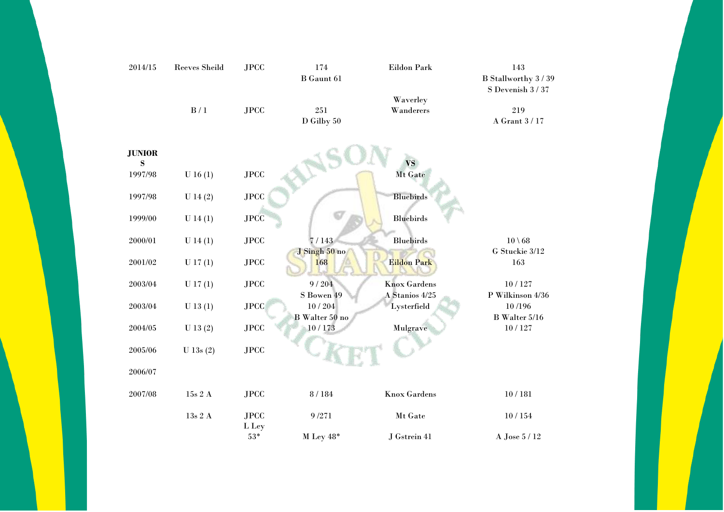| 2014/15                    | Reeves Sheild      | <b>JPCC</b>          | 174<br><b>B</b> Gaunt 61        | Eildon Park                           | 143<br>B Stallworthy 3 / 39<br>S Devenish 3 / 37 |
|----------------------------|--------------------|----------------------|---------------------------------|---------------------------------------|--------------------------------------------------|
|                            | $\mathbf{B}\,/\,1$ | <b>JPCC</b>          | 251<br>D Gilby 50               | Waverley<br>Wanderers                 | 219<br>A Grant $3/17$                            |
| <b>JUNIOR</b><br>${\bf S}$ |                    |                      |                                 | VS                                    |                                                  |
| 1997/98                    | U 16(1)            | <b>JPCC</b>          |                                 | Mt Gate                               |                                                  |
| 1997/98                    | $U$ 14 $(2)$       | <b>JPCC</b>          |                                 | <b>Bluebirds</b>                      |                                                  |
| 1999/00                    | $U$ 14 $(1)$       | <b>JPCC</b>          |                                 | <b>Bluebirds</b>                      |                                                  |
| 2000/01                    | $U$ 14 $(1)$       | <b>JPCC</b>          | 7/143                           | <b>Bluebirds</b>                      | $10\smallsetminus 68$                            |
| 2001/02                    | U 17(1)            | <b>JPCC</b>          | J Singh 50 no<br>168            | Eildon Park                           | ${\rm G}$ Stuckie $3/12$<br>163                  |
| 2003/04                    | U 17(1)            | <b>JPCC</b>          | 9/204<br>S Bowen 49             | <b>Knox Gardens</b><br>A Stanios 4/25 | 10/127<br>P Wilkinson 4/36                       |
| 2003/04                    | $U$ 13 $(1)$       | <b>JPCC</b>          | 10/204<br><b>B</b> Walter 50 no | Lysterfield                           | 10/196<br>B Walter 5/16                          |
| 2004/05                    | $U$ 13 $(2)$       | <b>JPCC</b>          | 10/173                          | Mulgrave                              | 10/127                                           |
| 2005/06                    | $U$ 13s $(2)$      | <b>JPCC</b>          |                                 |                                       |                                                  |
| 2006/07                    |                    |                      |                                 |                                       |                                                  |
| 2007/08                    | $15s$ 2 A          | <b>JPCC</b>          | 8/184                           | <b>Knox Gardens</b>                   | 10/181                                           |
|                            | $13s$ 2 A          | <b>JPCC</b><br>L Ley | 9/271                           | Mt Gate                               | 10/154                                           |
|                            |                    | $53\,^*$             | M Ley $48*$                     | J Gstrein 41                          | A Jose $5$ / $12\,$                              |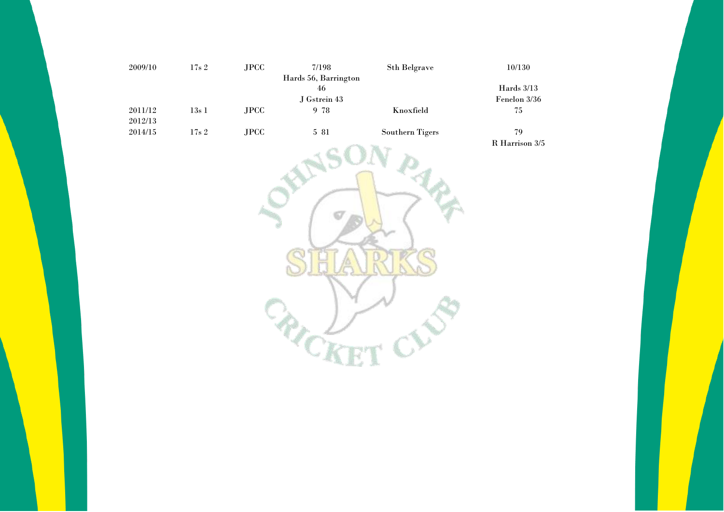| 2009/10 | 17s2 | $_{\rm JPEG}$ | 7/198                | Sth Belgrave                  | 10/130         |
|---------|------|---------------|----------------------|-------------------------------|----------------|
|         |      |               | Hards 56, Barrington |                               |                |
|         |      |               | 46                   |                               | Hards $3/13$   |
|         |      |               | J Gstrein 43         |                               | Fenelon 3/36   |
| 2011/12 | 13s1 | $_{\rmtPCC}$  | 9 78                 | Knoxfield                     | 75             |
| 2012/13 |      |               |                      |                               |                |
| 2014/15 | 17s2 | $_{\rmtPCC}$  | 5 81                 | <b>Southern Tigers</b>        | 79             |
|         |      |               |                      | and Contact in Administration | R Harrison 3/5 |

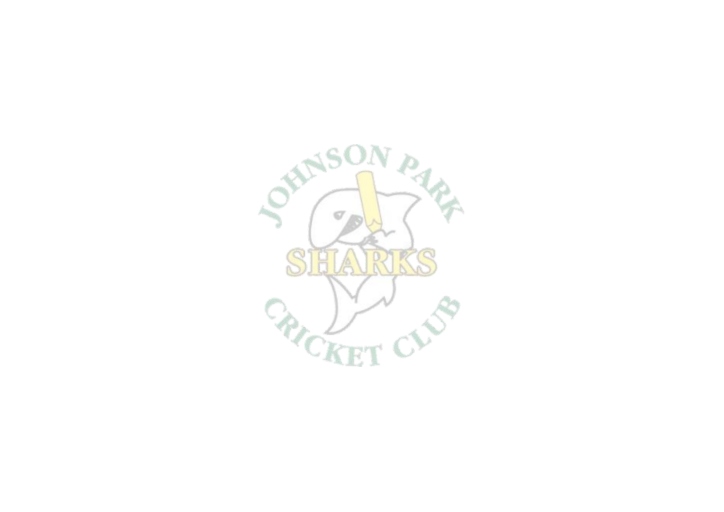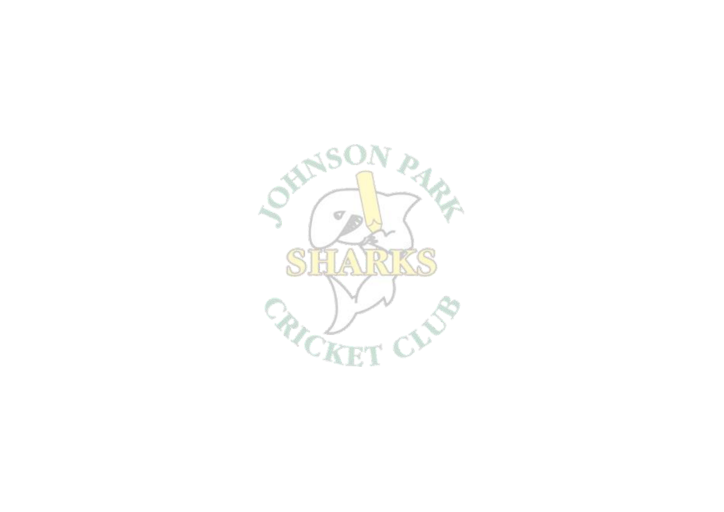